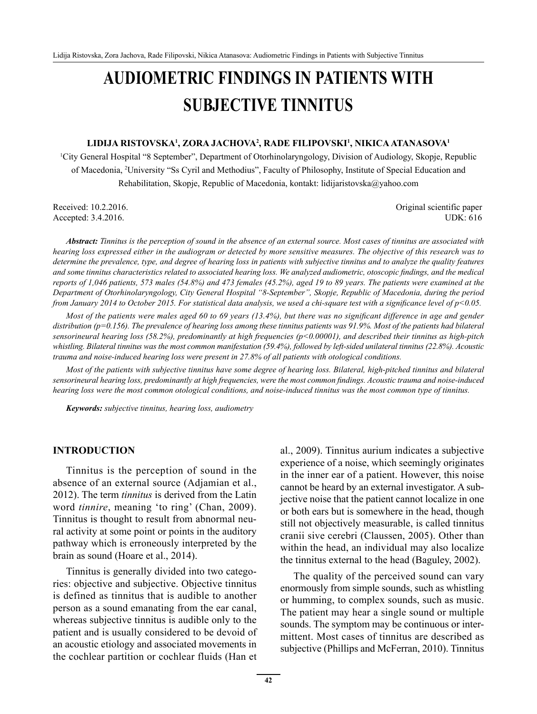# **AUDIOMETRIC FINDINGS IN PATIENTS WITH SUBJECTIVE TINNITUS**

#### **LIDIJA RISTOVSKA1 , ZORA JACHOVA2 , RADE FILIPOVSKI1 , NIKICA ATANASOVA1**

1 City General Hospital "8 September", Department of Otorhinolaryngology, Division of Audiology, Skopje, Republic of Macedonia, 2 University "Ss Cyril and Methodius", Faculty of Philosophy, Institute of Special Education and Rehabilitation, Skopje, Republic of Macedonia, kontakt: lidijaristovska@yahoo.com

Received: 10.2.2016. Original scientific paper Accepted: 3.4.2016. UDK: 616

*Abstract: Tinnitus is the perception of sound in the absence of an external source. Most cases of tinnitus are associated with hearing loss expressed either in the audiogram or detected by more sensitive measures. The objective of this research was to determine the prevalence, type, and degree of hearing loss in patients with subjective tinnitus and to analyze the quality features*  and some tinnitus characteristics related to associated hearing loss. We analyzed audiometric, otoscopic findings, and the medical *reports of 1,046 patients, 573 males (54.8%) and 473 females (45.2%), aged 19 to 89 years. The patients were examined at the Department of Otorhinolaryngology, City General Hospital "8-September", Skopje, Republic of Macedonia, during the period from January 2014 to October 2015. For statistical data analysis, we used a chi-square test with a significance level of p<0.05.* 

*Most of the patients were males aged 60 to 69 years (13.4%), but there was no significant difference in age and gender distribution (p=0.156). The prevalence of hearing loss among these tinnitus patients was 91.9%. Most of the patients had bilateral sensorineural hearing loss (58.2%), predominantly at high frequencies (p<0.00001), and described their tinnitus as high-pitch whistling. Bilateral tinnitus was the most common manifestation (59.4%), followed by left-sided unilateral tinnitus (22.8%). Acoustic trauma and noise-induced hearing loss were present in 27.8% of all patients with otological conditions.* 

*Most of the patients with subjective tinnitus have some degree of hearing loss. Bilateral, high-pitched tinnitus and bilateral sensorineural hearing loss, predominantly at high frequencies, were the most common fi ndings. Acoustic trauma and noise-induced hearing loss were the most common otological conditions, and noise-induced tinnitus was the most common type of tinnitus.*

*Keywords: subjective tinnitus, hearing loss, audiometry*

#### **INTRODUCTION**

Tinnitus is the perception of sound in the absence of an external source (Adjamian et al., 2012). The term *tinnitus* is derived from the Latin word *tinnire*, meaning 'to ring' (Chan, 2009). Tinnitus is thought to result from abnormal neural activity at some point or points in the auditory pathway which is erroneously interpreted by the brain as sound (Hoare et al., 2014).

Tinnitus is generally divided into two categories: objective and subjective. Objective tinnitus is defined as tinnitus that is audible to another person as a sound emanating from the ear canal, whereas subjective tinnitus is audible only to the patient and is usually considered to be devoid of an acoustic etiology and associated movements in the cochlear partition or cochlear fluids (Han et al., 2009). Tinnitus aurium indicates a subjective experience of a noise, which seemingly originates in the inner ear of a patient. However, this noise cannot be heard by an external investigator. A subjective noise that the patient cannot localize in one or both ears but is somewhere in the head, though still not objectively measurable, is called tinnitus cranii sive cerebri (Claussen, 2005). Other than within the head, an individual may also localize the tinnitus external to the head (Baguley, 2002).

The quality of the perceived sound can vary enormously from simple sounds, such as whistling or humming, to complex sounds, such as music. The patient may hear a single sound or multiple sounds. The symptom may be continuous or intermittent. Most cases of tinnitus are described as subjective (Phillips and McFerran, 2010). Tinnitus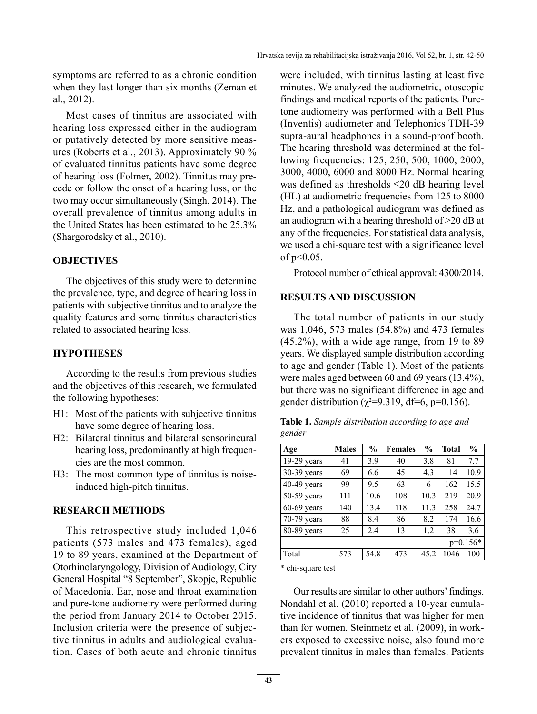symptoms are referred to as a chronic condition when they last longer than six months (Zeman et al., 2012).

Most cases of tinnitus are associated with hearing loss expressed either in the audiogram or putatively detected by more sensitive measures (Roberts et al., 2013). Approximately 90 % of evaluated tinnitus patients have some degree of hearing loss (Folmer, 2002). Tinnitus may precede or follow the onset of a hearing loss, or the two may occur simultaneously (Singh, 2014). The overall prevalence of tinnitus among adults in the United States has been estimated to be 25.3% (Shargorodsky et al., 2010).

### **OBJECTIVES**

The objectives of this study were to determine the prevalence, type, and degree of hearing loss in patients with subjective tinnitus and to analyze the quality features and some tinnitus characteristics related to associated hearing loss.

### **HYPOTHESES**

According to the results from previous studies and the objectives of this research, we formulated the following hypotheses:

- H1: Most of the patients with subjective tinnitus have some degree of hearing loss.
- H2: Bilateral tinnitus and bilateral sensorineural hearing loss, predominantly at high frequencies are the most common.
- H3: The most common type of tinnitus is noiseinduced high-pitch tinnitus.

#### **RESEARCH METHODS**

This retrospective study included 1,046 patients (573 males and 473 females), aged 19 to 89 years, examined at the Department of Otorhinolaryngology, Division of Audiology, City General Hospital "8 September", Skopje, Republic of Macedonia. Ear, nose and throat examination and pure-tone audiometry were performed during the period from January 2014 to October 2015. Inclusion criteria were the presence of subjective tinnitus in adults and audiological evaluation. Cases of both acute and chronic tinnitus were included, with tinnitus lasting at least five minutes. We analyzed the audiometric, otoscopic findings and medical reports of the patients. Puretone audiometry was performed with a Bell Plus (Inventis) audiometer and Telephonics TDH-39 supra-aural headphones in a sound-proof booth. The hearing threshold was determined at the following frequencies: 125, 250, 500, 1000, 2000, 3000, 4000, 6000 and 8000 Hz. Normal hearing was defined as thresholds ≤20 dB hearing level (HL) at audiometric frequencies from 125 to 8000 Hz, and a pathological audiogram was defined as an audiogram with a hearing threshold of >20 dB at any of the frequencies. For statistical data analysis, we used a chi-square test with a significance level of p<0.05.

Protocol number of ethical approval: 4300/2014.

#### **RESULTS AND DISCUSSION**

The total number of patients in our study was 1,046, 573 males (54.8%) and 473 females (45.2%), with a wide age range, from 19 to 89 years. We displayed sample distribution according to age and gender (Table 1). Most of the patients were males aged between 60 and 69 years (13.4%), but there was no significant difference in age and gender distribution ( $\gamma^2 = 9.319$ , df=6, p=0.156).

| Age           | <b>Males</b> | $\frac{0}{0}$ | <b>Females</b> | $\frac{0}{0}$ | <b>Total</b> | $\frac{0}{0}$ |  |
|---------------|--------------|---------------|----------------|---------------|--------------|---------------|--|
| 19-29 years   | 41           | 3.9           | 40             | 3.8           | 81           | 7.7           |  |
| 30-39 years   | 69           | 6.6           | 45             | 4.3           | 114          | 10.9          |  |
| 40-49 years   | 99           | 9.5           | 63             | 6             | 162          | 15.5          |  |
| 50-59 years   | 111          | 10.6          | 108            | 10.3          | 219          | 20.9          |  |
| $60-69$ years | 140          | 13.4          | 118            | 11.3          | 258          | 24.7          |  |
| 70-79 years   | 88           | 8.4           | 86             | 8.2           | 174          | 16.6          |  |
| 80-89 years   | 25           | 2.4           | 13             | 1.2           | 38           | 3.6           |  |
| $p=0.156*$    |              |               |                |               |              |               |  |
| Total         | 573          | 54.8          | 473            | 45.2          | 1046         | 100           |  |

**Table 1.** *Sample distribution according to age and gender* 

\* chi-square test

Our results are similar to other authors' findings. Nondahl et al. (2010) reported a 10-year cumulative incidence of tinnitus that was higher for men than for women. Steinmetz et al. (2009), in workers exposed to excessive noise, also found more prevalent tinnitus in males than females. Patients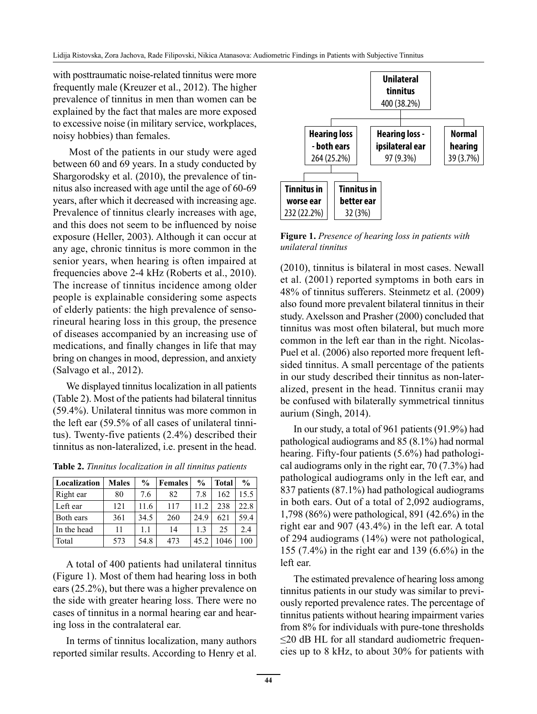with posttraumatic noise-related tinnitus were more frequently male (Kreuzer et al., 2012). The higher prevalence of tinnitus in men than women can be explained by the fact that males are more exposed to excessive noise (in military service, workplaces, noisy hobbies) than females.

 Most of the patients in our study were aged between 60 and 69 years. In a study conducted by Shargorodsky et al. (2010), the prevalence of tinnitus also increased with age until the age of 60-69 years, after which it decreased with increasing age. Prevalence of tinnitus clearly increases with age, and this does not seem to be influenced by noise exposure (Heller, 2003). Although it can occur at any age, chronic tinnitus is more common in the senior years, when hearing is often impaired at frequencies above 2-4 kHz (Roberts et al., 2010). The increase of tinnitus incidence among older people is explainable considering some aspects of elderly patients: the high prevalence of sensorineural hearing loss in this group, the presence of diseases accompanied by an increasing use of medications, and finally changes in life that may bring on changes in mood, depression, and anxiety (Salvago et al., 2012).

We displayed tinnitus localization in all patients (Table 2). Most of the patients had bilateral tinnitus (59.4%). Unilateral tinnitus was more common in the left ear (59.5% of all cases of unilateral tinnitus). Twenty-five patients (2.4%) described their tinnitus as non-lateralized, i.e. present in the head.

| Localization | <b>Males</b> | $\frac{0}{0}$ | <b>Females</b> | $\frac{0}{0}$ | <b>Total</b> | $\frac{0}{0}$ |
|--------------|--------------|---------------|----------------|---------------|--------------|---------------|
| Right ear    | 80           | 7.6           | 82             | 7.8           | 162          | 15.5          |
| Left ear     | 121          | 11.6          | 117            | 11.2          | 238          | 22.8          |
| Both ears    | 361          | 34.5          | 260            | 24.9          | 621          | 59.4          |
| In the head  | 11           | 11            | 14             | 1.3           | 25           | 2.4           |
| Total        | 573          | 54.8          | 473            | 45.2          | 1046         | 100           |

**Table 2.** *Tinnitus localization in all tinnitus patients*

A total of 400 patients had unilateral tinnitus (Figure 1). Most of them had hearing loss in both ears (25.2%), but there was a higher prevalence on the side with greater hearing loss. There were no cases of tinnitus in a normal hearing ear and hearing loss in the contralateral ear.

In terms of tinnitus localization, many authors reported similar results. According to Henry et al.



**Figure 1.** *Presence of hearing loss in patients with unilateral tinnitus*

(2010), tinnitus is bilateral in most cases. Newall et al. (2001) reported symptoms in both ears in 48% of tinnitus sufferers. Steinmetz et al. (2009) also found more prevalent bilateral tinnitus in their study. Axelsson and Prasher (2000) concluded that tinnitus was most often bilateral, but much more common in the left ear than in the right. Nicolas-Puel et al. (2006) also reported more frequent leftsided tinnitus. A small percentage of the patients in our study described their tinnitus as non-lateralized, present in the head. Tinnitus cranii may be confused with bilaterally symmetrical tinnitus aurium (Singh, 2014).

In our study, a total of 961 patients (91.9%) had pathological audiograms and 85 (8.1%) had normal hearing. Fifty-four patients (5.6%) had pathological audiograms only in the right ear, 70 (7.3%) had pathological audiograms only in the left ear, and 837 patients (87.1%) had pathological audiograms in both ears. Out of a total of 2,092 audiograms, 1,798 (86%) were pathological, 891 (42.6%) in the right ear and 907 (43.4%) in the left ear. A total of 294 audiograms (14%) were not pathological, 155 (7.4%) in the right ear and 139 (6.6%) in the left ear.

The estimated prevalence of hearing loss among tinnitus patients in our study was similar to previously reported prevalence rates. The percentage of tinnitus patients without hearing impairment varies from 8% for individuals with pure-tone thresholds ≤20 dB HL for all standard audiometric frequencies up to 8 kHz, to about 30% for patients with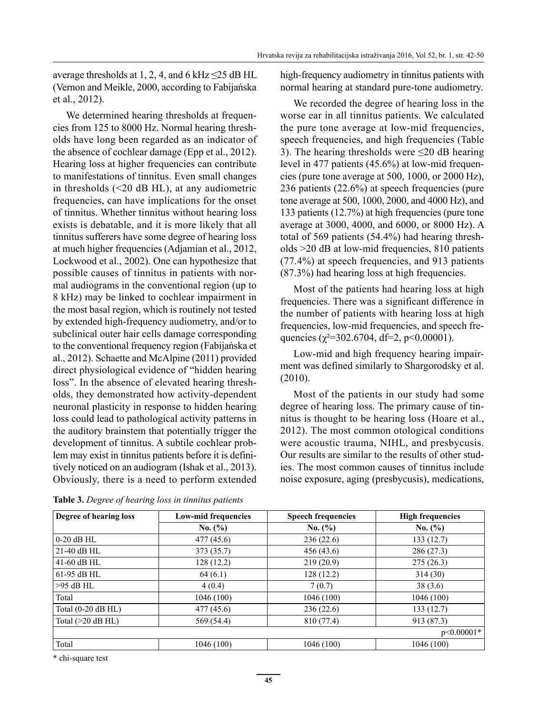average thresholds at 1, 2, 4, and 6 kHz  $\leq$ 25 dB HL (Vernon and Meikle, 2000, according to Fabijańska et al., 2012).

We determined hearing thresholds at frequencies from 125 to 8000 Hz. Normal hearing thresholds have long been regarded as an indicator of the absence of cochlear damage (Epp et al., 2012). Hearing loss at higher frequencies can contribute to manifestations of tinnitus. Even small changes in thresholds (<20 dB HL), at any audiometric frequencies, can have implications for the onset of tinnitus. Whether tinnitus without hearing loss exists is debatable, and it is more likely that all tinnitus sufferers have some degree of hearing loss at much higher frequencies (Adjamian et al., 2012, Lockwood et al., 2002). One can hypothesize that possible causes of tinnitus in patients with normal audiograms in the conventional region (up to 8 kHz) may be linked to cochlear impairment in the most basal region, which is routinely not tested by extended high-frequency audiometry, and/or to subclinical outer hair cells damage corresponding to the conventional frequency region (Fabijańska et al., 2012). Schaette and McAlpine (2011) provided direct physiological evidence of "hidden hearing loss". In the absence of elevated hearing thresholds, they demonstrated how activity-dependent neuronal plasticity in response to hidden hearing loss could lead to pathological activity patterns in the auditory brainstem that potentially trigger the development of tinnitus. A subtile cochlear problem may exist in tinnitus patients before it is definitively noticed on an audiogram (Ishak et al., 2013). Obviously, there is a need to perform extended high-frequency audiometry in tinnitus patients with normal hearing at standard pure-tone audiometry.

We recorded the degree of hearing loss in the worse ear in all tinnitus patients. We calculated the pure tone average at low-mid frequencies, speech frequencies, and high frequencies (Table 3). The hearing thresholds were ≤20 dB hearing level in 477 patients (45.6%) at low-mid frequencies (pure tone average at 500, 1000, or 2000 Hz), 236 patients (22.6%) at speech frequencies (pure tone average at 500, 1000, 2000, and 4000 Hz), and 133 patients (12.7%) at high frequencies (pure tone average at 3000, 4000, and 6000, or 8000 Hz). A total of 569 patients (54.4%) had hearing thresholds >20 dB at low-mid frequencies, 810 patients (77.4%) at speech frequencies, and 913 patients (87.3%) had hearing loss at high frequencies.

Most of the patients had hearing loss at high frequencies. There was a significant difference in the number of patients with hearing loss at high frequencies, low-mid frequencies, and speech frequencies ( $\chi^2$ =302.6704, df=2, p<0.00001).

Low-mid and high frequency hearing impairment was defined similarly to Shargorodsky et al. (2010).

Most of the patients in our study had some degree of hearing loss. The primary cause of tinnitus is thought to be hearing loss (Hoare et al., 2012). The most common otological conditions were acoustic trauma, NIHL, and presbycusis. Our results are similar to the results of other studies. The most common causes of tinnitus include noise exposure, aging (presbycusis), medications,

| Degree of hearing loss | <b>Low-mid frequencies</b> | <b>Speech frequencies</b> | <b>High frequencies</b> |
|------------------------|----------------------------|---------------------------|-------------------------|
|                        | No. (%)                    | No. (%)                   | No. (%)                 |
| $0-20$ dB HL           | 477 (45.6)                 | 236(22.6)                 | 133(12.7)               |
| $21-40$ dB HL          | 373 (35.7)                 | 456 (43.6)                | 286 (27.3)              |
| $41-60$ dB HL          | 128 (12.2)                 | 219(20.9)                 | 275 (26.3)              |
| $61-95$ dB HL          | 64(6.1)                    | 128(12.2)                 | 314(30)                 |
| $>95$ dB HL            | 4(0.4)                     | 7(0.7)                    | 38(3.6)                 |
| Total                  | 1046(100)                  | 1046(100)                 | 1046 (100)              |
| Total (0-20 dB HL)     | 477 (45.6)                 | 236(22.6)                 | 133(12.7)               |
| Total $(>20$ dB HL)    | 569 (54.4)                 | 810 (77.4)                | 913 (87.3)              |
|                        |                            |                           | $p<0.00001*$            |
| Total                  | 1046 (100)                 | 1046 (100)                | 1046 (100)              |

**Table 3.** *Degree of hearing loss in tinnitus patients*

\* chi-square test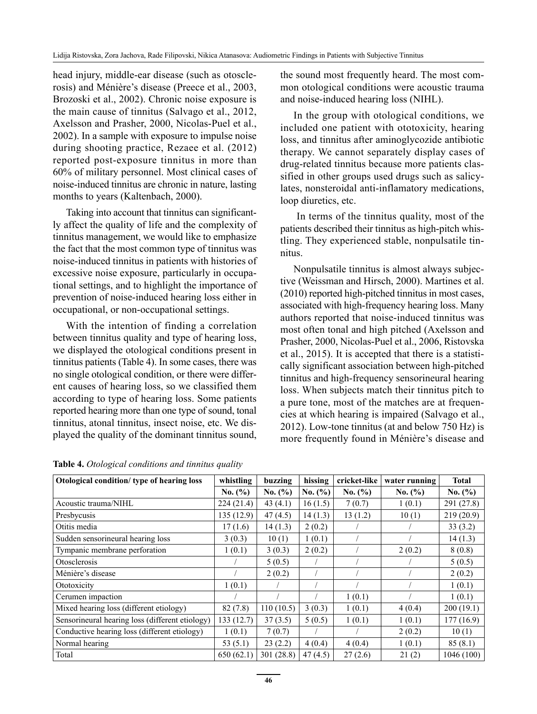head injury, middle-ear disease (such as otosclerosis) and Ménière's disease (Preece et al., 2003, Brozoski et al., 2002). Chronic noise exposure is the main cause of tinnitus (Salvago et al., 2012, Axelsson and Prasher, 2000, Nicolas-Puel et al., 2002). In a sample with exposure to impulse noise during shooting practice, Rezaee et al. (2012) reported post-exposure tinnitus in more than 60% of military personnel. Most clinical cases of noise-induced tinnitus are chronic in nature, lasting months to years (Kaltenbach, 2000).

Taking into account that tinnitus can significantly affect the quality of life and the complexity of tinnitus management, we would like to emphasize the fact that the most common type of tinnitus was noise-induced tinnitus in patients with histories of excessive noise exposure, particularly in occupational settings, and to highlight the importance of prevention of noise-induced hearing loss either in occupational, or non-occupational settings.

With the intention of finding a correlation between tinnitus quality and type of hearing loss, we displayed the otological conditions present in tinnitus patients (Table 4). In some cases, there was no single otological condition, or there were different causes of hearing loss, so we classified them according to type of hearing loss. Some patients reported hearing more than one type of sound, tonal tinnitus, atonal tinnitus, insect noise, etc. We displayed the quality of the dominant tinnitus sound, the sound most frequently heard. The most common otological conditions were acoustic trauma and noise-induced hearing loss (NIHL).

In the group with otological conditions, we included one patient with ototoxicity, hearing loss, and tinnitus after aminoglycozide antibiotic therapy. We cannot separately display cases of drug-related tinnitus because more patients classified in other groups used drugs such as salicylates, nonsteroidal anti-inflamatory medications, loop diuretics, etc.

 In terms of the tinnitus quality, most of the patients described their tinnitus as high-pitch whistling. They experienced stable, nonpulsatile tinnitus.

Nonpulsatile tinnitus is almost always subjective (Weissman and Hirsch, 2000). Martines et al. (2010) reported high-pitched tinnitus in most cases, associated with high-frequency hearing loss. Many authors reported that noise-induced tinnitus was most often tonal and high pitched (Axelsson and Prasher, 2000, Nicolas-Puel et al., 2006, Ristovska et al., 2015). It is accepted that there is a statistically significant association between high-pitched tinnitus and high-frequency sensorineural hearing loss. When subjects match their tinnitus pitch to a pure tone, most of the matches are at frequencies at which hearing is impaired (Salvago et al., 2012). Low-tone tinnitus (at and below 750 Hz) is more frequently found in Ménière's disease and

| Otological condition/ type of hearing loss      | whistling   | buzzing    | hissing     | cricket-like | water running | <b>Total</b> |
|-------------------------------------------------|-------------|------------|-------------|--------------|---------------|--------------|
|                                                 | No. $(\% )$ | No. (%)    | No. $(\% )$ | No. (%)      | No. $(\% )$   | No. $(\% )$  |
| Acoustic trauma/NIHL                            | 224(21.4)   | 43 $(4.1)$ | 16(1.5)     | 7(0.7)       | 1(0.1)        | 291 (27.8)   |
| Presbycusis                                     | 135(12.9)   | 47(4.5)    | 14(1.3)     | 13(1.2)      | 10(1)         | 219 (20.9)   |
| Otitis media                                    | 17(1.6)     | 14(1.3)    | 2(0.2)      |              |               | 33(3.2)      |
| Sudden sensorineural hearing loss               | 3(0.3)      | 10(1)      | 1(0.1)      |              |               | 14(1.3)      |
| Tympanic membrane perforation                   | 1(0.1)      | 3(0.3)     | 2(0.2)      |              | 2(0.2)        | 8(0.8)       |
| Otosclerosis                                    |             | 5(0.5)     |             |              |               | 5(0.5)       |
| Ménière's disease                               |             | 2(0.2)     |             |              |               | 2(0.2)       |
| Ototoxicity                                     | 1(0.1)      |            |             |              |               | 1(0.1)       |
| Cerumen impaction                               |             |            |             | 1(0.1)       |               | 1(0.1)       |
| Mixed hearing loss (different etiology)         | 82(7.8)     | 110(10.5)  | 3(0.3)      | 1(0.1)       | 4(0.4)        | 200(19.1)    |
| Sensorineural hearing loss (different etiology) | 133(12.7)   | 37(3.5)    | 5(0.5)      | 1(0.1)       | 1(0.1)        | 177(16.9)    |
| Conductive hearing loss (different etiology)    | 1(0.1)      | 7(0.7)     |             |              | 2(0.2)        | 10(1)        |
| Normal hearing                                  | 53 $(5.1)$  | 23(2.2)    | 4(0.4)      | 4(0.4)       | 1(0.1)        | 85(8.1)      |
| Total                                           | 650(62.1)   | 301(28.8)  | 47(4.5)     | 27(2.6)      | 21(2)         | 1046(100)    |

**Table 4.** *Otological conditions and tinnitus quality*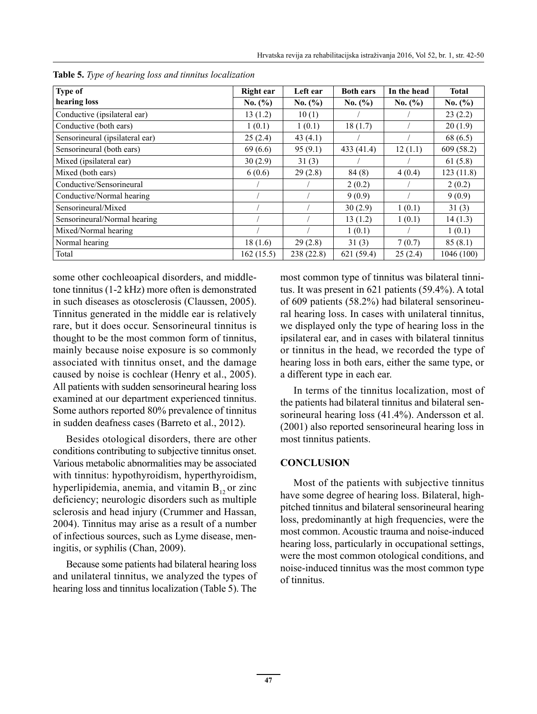| <b>Type of</b>                  | Right ear | Left ear   | <b>Both ears</b> | In the head<br>No. (%) | <b>Total</b><br>No. (%) |
|---------------------------------|-----------|------------|------------------|------------------------|-------------------------|
| hearing loss                    | No. (%)   | No. (%)    | No. (%)          |                        |                         |
| Conductive (ipsilateral ear)    | 13(1.2)   | 10(1)      |                  |                        | 23(2.2)                 |
| Conductive (both ears)          | 1(0.1)    | 1(0.1)     | 18(1.7)          |                        | 20(1.9)                 |
| Sensorineural (ipsilateral ear) | 25(2.4)   | 43(4.1)    |                  |                        | 68 (6.5)                |
| Sensorineural (both ears)       | 69(6.6)   | 95(9.1)    | 433 (41.4)       | 12(1.1)                | 609(58.2)               |
| Mixed (ipsilateral ear)         | 30(2.9)   | 31(3)      |                  |                        | 61(5.8)                 |
| Mixed (both ears)               | 6(0.6)    | 29(2.8)    | 84 (8)           | 4(0.4)                 | 123(11.8)               |
| Conductive/Sensorineural        |           |            | 2(0.2)           |                        | 2(0.2)                  |
| Conductive/Normal hearing       |           |            | 9(0.9)           |                        | 9(0.9)                  |
| Sensorineural/Mixed             |           |            | 30(2.9)          | 1(0.1)                 | 31(3)                   |
| Sensorineural/Normal hearing    |           |            | 13(1.2)          | 1(0.1)                 | 14(1.3)                 |
| Mixed/Normal hearing            |           |            | 1(0.1)           |                        | 1(0.1)                  |
| Normal hearing                  | 18(1.6)   | 29(2.8)    | 31(3)            | 7(0.7)                 | 85(8.1)                 |
| Total                           | 162(15.5) | 238 (22.8) | 621(59.4)        | 25(2.4)                | 1046 (100)              |

**Table 5.** *Type of hearing loss and tinnitus localization*

some other cochleoapical disorders, and middletone tinnitus (1-2 kHz) more often is demonstrated in such diseases as otosclerosis (Claussen, 2005). Tinnitus generated in the middle ear is relatively rare, but it does occur. Sensorineural tinnitus is thought to be the most common form of tinnitus, mainly because noise exposure is so commonly associated with tinnitus onset, and the damage caused by noise is cochlear (Henry et al., 2005). All patients with sudden sensorineural hearing loss examined at our department experienced tinnitus. Some authors reported 80% prevalence of tinnitus in sudden deafness cases (Barreto et al., 2012).

Besides otological disorders, there are other conditions contributing to subjective tinnitus onset. Various metabolic abnormalities may be associated with tinnitus: hypothyroidism, hyperthyroidism, hyperlipidemia, anemia, and vitamin  $B_{12}$  or zinc deficiency; neurologic disorders such as multiple sclerosis and head injury (Crummer and Hassan, 2004). Tinnitus may arise as a result of a number of infectious sources, such as Lyme disease, meningitis, or syphilis (Chan, 2009).

Because some patients had bilateral hearing loss and unilateral tinnitus, we analyzed the types of hearing loss and tinnitus localization (Table 5). The most common type of tinnitus was bilateral tinnitus. It was present in 621 patients (59.4%). A total of 609 patients (58.2%) had bilateral sensorineural hearing loss. In cases with unilateral tinnitus, we displayed only the type of hearing loss in the ipsilateral ear, and in cases with bilateral tinnitus or tinnitus in the head, we recorded the type of hearing loss in both ears, either the same type, or a different type in each ear.

In terms of the tinnitus localization, most of the patients had bilateral tinnitus and bilateral sensorineural hearing loss (41.4%). Andersson et al. (2001) also reported sensorineural hearing loss in most tinnitus patients.

#### **CONCLUSION**

Most of the patients with subjective tinnitus have some degree of hearing loss. Bilateral, highpitched tinnitus and bilateral sensorineural hearing loss, predominantly at high frequencies, were the most common. Acoustic trauma and noise-induced hearing loss, particularly in occupational settings, were the most common otological conditions, and noise-induced tinnitus was the most common type of tinnitus.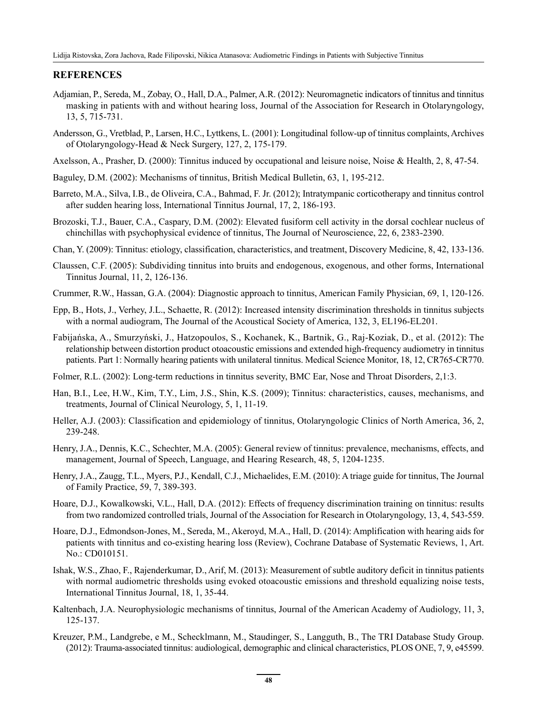#### **REFERENCES**

- Adjamian, P., Sereda, M., Zobay, O., Hall, D.A., Palmer, A.R. (2012): Neuromagnetic indicators of tinnitus and tinnitus masking in patients with and without hearing loss, Journal of the Association for Research in Otolaryngology, 13, 5, 715-731.
- Andersson, G., Vretblad, P., Larsen, H.C., Lyttkens, L. (2001): Longitudinal follow-up of tinnitus complaints, Archives of Otolaryngology-Head & Neck Surgery, 127, 2, 175-179.
- Axelsson, A., Prasher, D. (2000): Tinnitus induced by occupational and leisure noise, Noise & Health, 2, 8, 47-54.
- Baguley, D.M. (2002): Mechanisms of tinnitus, British Medical Bulletin, 63, 1, 195-212.
- Barreto, M.A., Silva, I.B., de Oliveira, C.A., Bahmad, F. Jr. (2012); Intratympanic corticotherapy and tinnitus control after sudden hearing loss, International Tinnitus Journal, 17, 2, 186-193.
- Brozoski, T.J., Bauer, C.A., Caspary, D.M. (2002): Elevated fusiform cell activity in the dorsal cochlear nucleus of chinchillas with psychophysical evidence of tinnitus, The Journal of Neuroscience, 22, 6, 2383-2390.
- Chan, Y. (2009): Tinnitus: etiology, classification, characteristics, and treatment, Discovery Medicine, 8, 42, 133-136.
- Claussen, C.F. (2005): Subdividing tinnitus into bruits and endogenous, exogenous, and other forms, International Tinnitus Journal, 11, 2, 126-136.
- Crummer, R.W., Hassan, G.A. (2004): Diagnostic approach to tinnitus, American Family Physician, 69, 1, 120-126.
- Epp, B., Hots, J., Verhey, J.L., Schaette, R. (2012): Increased intensity discrimination thresholds in tinnitus subjects with a normal audiogram, The Journal of the Acoustical Society of America, 132, 3, EL196-EL201.
- Fabijańska, A., Smurzyński, J., Hatzopoulos, S., Kochanek, K., Bartnik, G., Raj-Koziak, D., et al. (2012): The relationship between distortion product otoacoustic emissions and extended high-frequency audiometry in tinnitus patients. Part 1: Normally hearing patients with unilateral tinnitus. Medical Science Monitor, 18, 12, CR765-CR770.
- Folmer, R.L. (2002): Long-term reductions in tinnitus severity, BMC Ear, Nose and Throat Disorders, 2,1:3.
- Han, B.I., Lee, H.W., Kim, T.Y., Lim, J.S., Shin, K.S. (2009); Tinnitus: characteristics, causes, mechanisms, and treatments, Journal of Clinical Neurology, 5, 1, 11-19.
- Heller, A.J. (2003): Classification and epidemiology of tinnitus, Otolaryngologic Clinics of North America, 36, 2, 239-248.
- Henry, J.A., Dennis, K.C., Schechter, M.A. (2005): General review of tinnitus: prevalence, mechanisms, effects, and management, Journal of Speech, Language, and Hearing Research, 48, 5, 1204-1235.
- Henry, J.A., Zaugg, T.L., Myers, P.J., Kendall, C.J., Michaelides, E.M. (2010): A triage guide for tinnitus, The Journal of Family Practice, 59, 7, 389-393.
- Hoare, D.J., Kowalkowski, V.L., Hall, D.A. (2012): Effects of frequency discrimination training on tinnitus: results from two randomized controlled trials, Journal of the Association for Research in Otolaryngology, 13, 4, 543-559.
- Hoare, D.J., Edmondson-Jones, M., Sereda, M., Akeroyd, M.A., Hall, D. (2014): Amplification with hearing aids for patients with tinnitus and co-existing hearing loss (Review), Cochrane Database of Systematic Reviews, 1, Art. No.: CD010151.
- Ishak, W.S., Zhao, F., Rajenderkumar, D., Arif, M. (2013): Measurement of subtle auditory deficit in tinnitus patients with normal audiometric thresholds using evoked otoacoustic emissions and threshold equalizing noise tests, International Tinnitus Journal, 18, 1, 35-44.
- Kaltenbach, J.A. Neurophysiologic mechanisms of tinnitus, Journal of the American Academy of Audiology, 11, 3, 125-137.
- Kreuzer, P.M., Landgrebe, e M., Schecklmann, M., Staudinger, S., Langguth, B., The TRI Database Study Group. (2012): Trauma-associated tinnitus: audiological, demographic and clinical characteristics, PLOS ONE, 7, 9, e45599.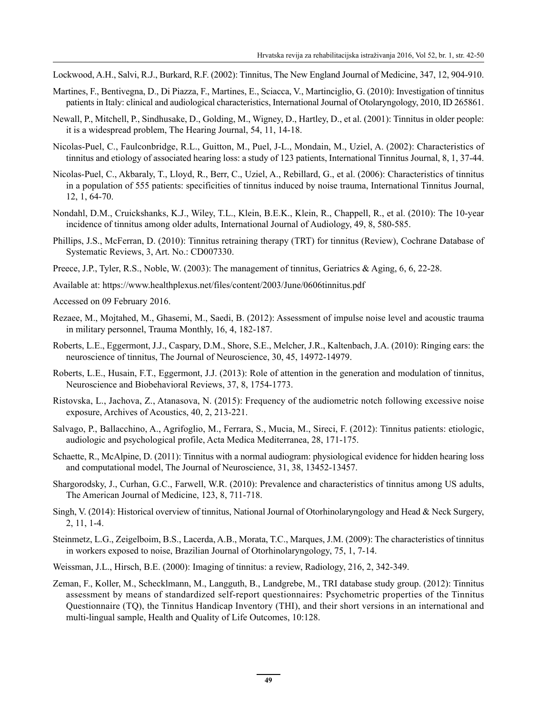- Lockwood, A.H., Salvi, R.J., Burkard, R.F. (2002): Tinnitus, The New England Journal of Medicine, 347, 12, 904-910.
- Martines, F., Bentivegna, D., Di Piazza, F., Martines, E., Sciacca, V., Martinciglio, G. (2010): Investigation of tinnitus patients in Italy: clinical and audiological characteristics, International Journal of Otolaryngology, 2010, ID 265861.
- Newall, P., Mitchell, P., Sindhusake, D., Golding, M., Wigney, D., Hartley, D., et al. (2001): Tinnitus in older people: it is a widespread problem, The Hearing Journal, 54, 11, 14-18.
- Nicolas-Puel, C., Faulconbridge, R.L., Guitton, M., Puel, J-L., Mondain, M., Uziel, A. (2002): Characteristics of tinnitus and etiology of associated hearing loss: a study of 123 patients, International Tinnitus Journal, 8, 1, 37-44.
- Nicolas-Puel, C., Akbaraly, T., Lloyd, R., Berr, C., Uziel, A., Rebillard, G., et al. (2006): Characteristics of tinnitus in a population of 555 patients: specificities of tinnitus induced by noise trauma, International Tinnitus Journal, 12, 1, 64-70.
- Nondahl, D.M., Cruickshanks, K.J., Wiley, T.L., Klein, B.E.K., Klein, R., Chappell, R., et al. (2010): The 10-year incidence of tinnitus among older adults, International Journal of Audiology, 49, 8, 580-585.
- Phillips, J.S., McFerran, D. (2010): Tinnitus retraining therapy (TRT) for tinnitus (Review), Cochrane Database of Systematic Reviews, 3, Art. No.: CD007330.
- Preece, J.P., Tyler, R.S., Noble, W. (2003): The management of tinnitus, Geriatrics & Aging, 6, 6, 22-28.
- Available at: https://www.healthplexus.net/files/content/2003/June/0606tinnitus.pdf
- Accessed on 09 February 2016.
- Rezaee, M., Mojtahed, M., Ghasemi, M., Saedi, B. (2012): Assessment of impulse noise level and acoustic trauma in military personnel, Trauma Monthly, 16, 4, 182-187.
- Roberts, L.E., Eggermont, J.J., Caspary, D.M., Shore, S.E., Melcher, J.R., Kaltenbach, J.A. (2010): Ringing ears: the neuroscience of tinnitus, The Journal of Neuroscience, 30, 45, 14972-14979.
- Roberts, L.E., Husain, F.T., Eggermont, J.J. (2013): Role of attention in the generation and modulation of tinnitus, Neuroscience and Biobehavioral Reviews, 37, 8, 1754-1773.
- Ristovska, L., Jachova, Z., Atanasova, N. (2015): Frequency of the audiometric notch following excessive noise exposure, Archives of Acoustics, 40, 2, 213-221.
- Salvago, P., Ballacchino, A., Agrifoglio, M., Ferrara, S., Mucia, M., Sireci, F. (2012): Tinnitus patients: etiologic, audiologic and psychological profile, Acta Medica Mediterranea, 28, 171-175.
- Schaette, R., McAlpine, D. (2011): Tinnitus with a normal audiogram: physiological evidence for hidden hearing loss and computational model, The Journal of Neuroscience, 31, 38, 13452-13457.
- Shargorodsky, J., Curhan, G.C., Farwell, W.R. (2010): Prevalence and characteristics of tinnitus among US adults, The American Journal of Medicine, 123, 8, 711-718.
- Singh, V. (2014): Historical overview of tinnitus, National Journal of Otorhinolaryngology and Head & Neck Surgery, 2, 11, 1-4.
- Steinmetz, L.G., Zeigelboim, B.S., Lacerda, A.B., Morata, T.C., Marques, J.M. (2009): The characteristics of tinnitus in workers exposed to noise, Brazilian Journal of Otorhinolaryngology, 75, 1, 7-14.
- Weissman, J.L., Hirsch, B.E. (2000): Imaging of tinnitus: a review, Radiology, 216, 2, 342-349.
- Zeman, F., Koller, M., Schecklmann, M., Langguth, B., Landgrebe, M., TRI database study group. (2012): Tinnitus assessment by means of standardized self-report questionnaires: Psychometric properties of the Tinnitus Questionnaire (TQ), the Tinnitus Handicap Inventory (THI), and their short versions in an international and multi-lingual sample, Health and Quality of Life Outcomes, 10:128.